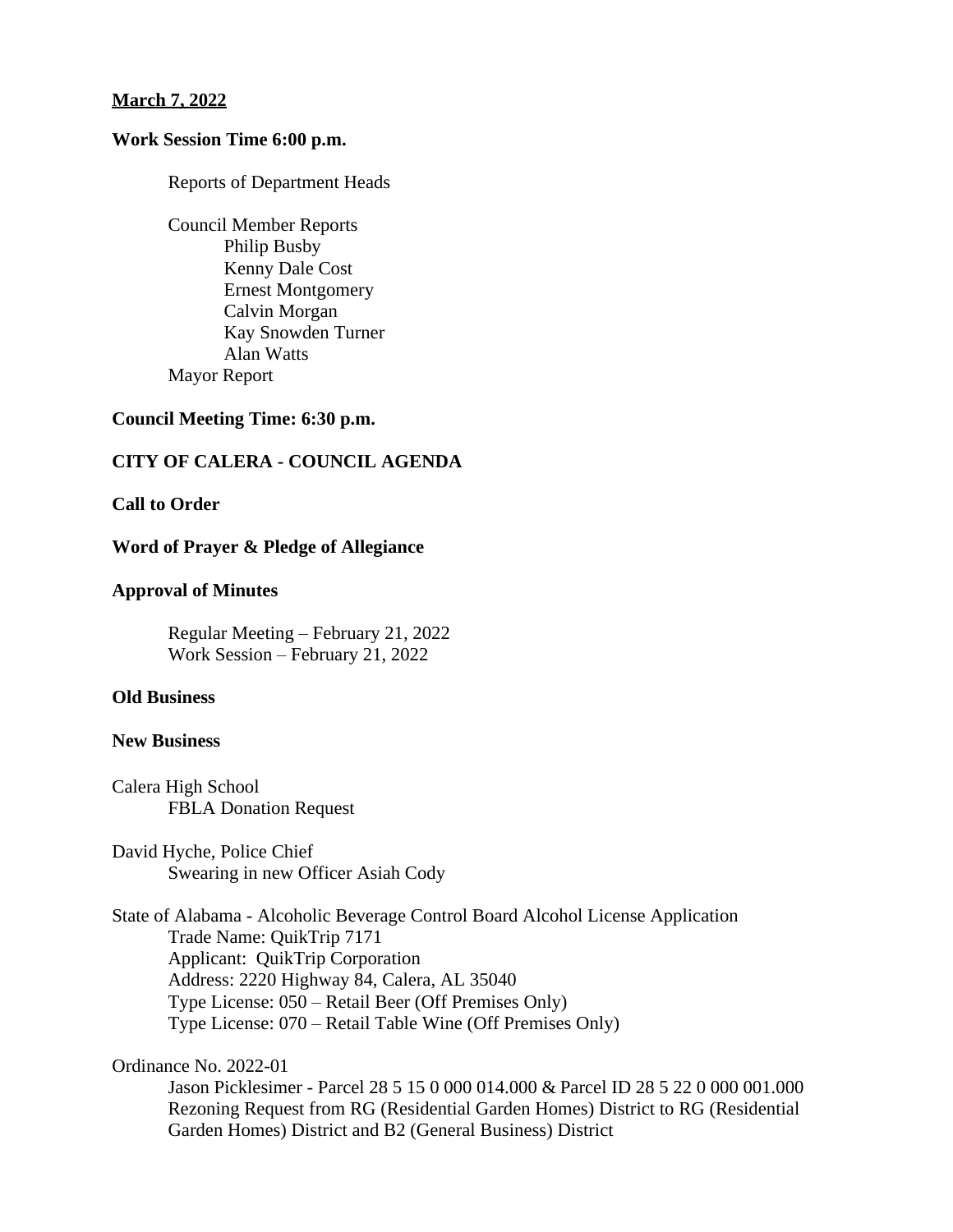## **March 7, 2022**

# **Work Session Time 6:00 p.m.**

Reports of Department Heads

Council Member Reports Philip Busby Kenny Dale Cost Ernest Montgomery Calvin Morgan Kay Snowden Turner Alan Watts Mayor Report

# **Council Meeting Time: 6:30 p.m.**

# **CITY OF CALERA - COUNCIL AGENDA**

## **Call to Order**

### **Word of Prayer & Pledge of Allegiance**

### **Approval of Minutes**

Regular Meeting – February 21, 2022 Work Session – February 21, 2022

## **Old Business**

#### **New Business**

Calera High School FBLA Donation Request

David Hyche, Police Chief Swearing in new Officer Asiah Cody

State of Alabama - Alcoholic Beverage Control Board Alcohol License Application Trade Name: QuikTrip 7171 Applicant: QuikTrip Corporation Address: 2220 Highway 84, Calera, AL 35040 Type License: 050 – Retail Beer (Off Premises Only) Type License: 070 – Retail Table Wine (Off Premises Only)

Ordinance No. 2022-01

Jason Picklesimer - Parcel 28 5 15 0 000 014.000 & Parcel ID 28 5 22 0 000 001.000 Rezoning Request from RG (Residential Garden Homes) District to RG (Residential Garden Homes) District and B2 (General Business) District